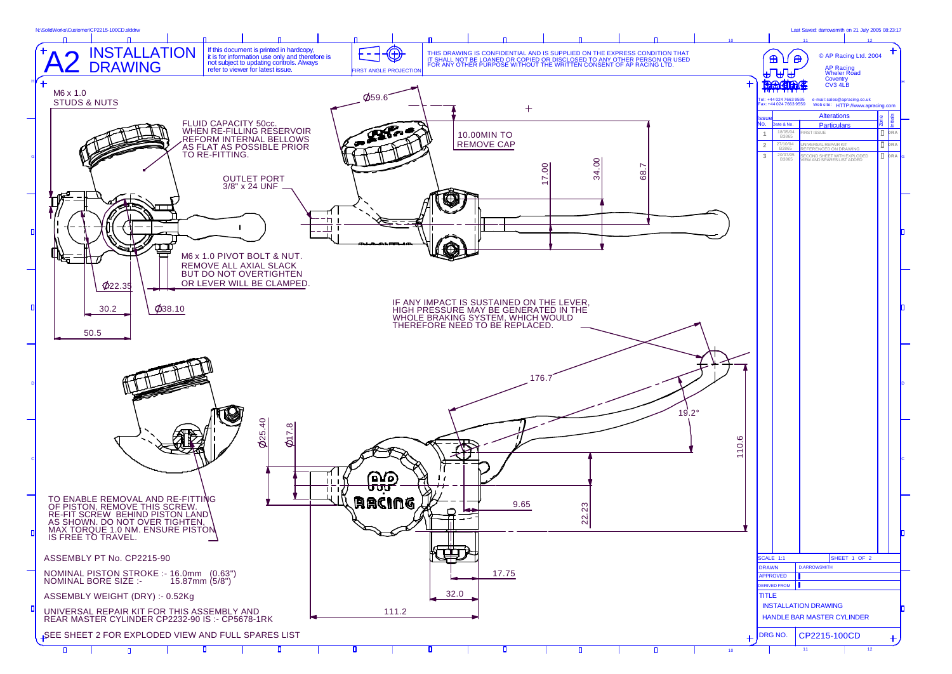